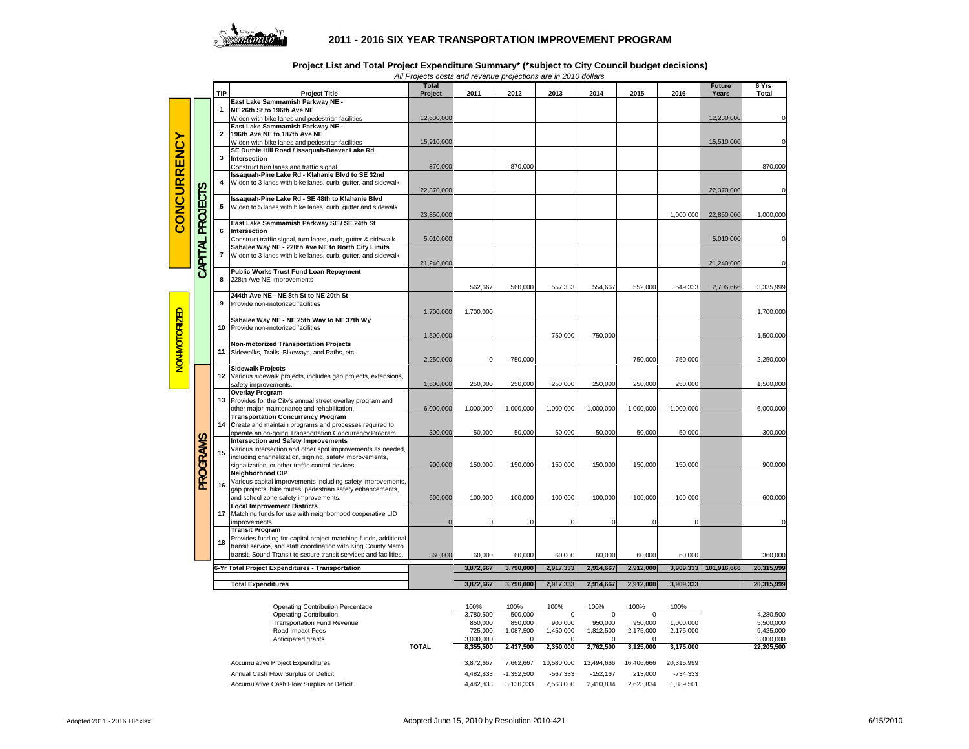

## **2011 - 2016 SIX YEAR TRANSPORTATION IMPROVEMENT PROGRAM**

|  |  |  | Project List and Total Project Expenditure Summary* (*subject to City Council budget decisions) |
|--|--|--|-------------------------------------------------------------------------------------------------|
|--|--|--|-------------------------------------------------------------------------------------------------|

*All Projects costs and revenue projections are in 2010 dollars*

|               |                                                  | <b>TIP</b>              | <b>Project Title</b>                                                                                                   | <b>Total</b><br>Project | 2011       | 2012      | 2013      | 2014      | 2015      | 2016                  | <b>Future</b><br>Years | 6 Yrs<br>Total |
|---------------|--------------------------------------------------|-------------------------|------------------------------------------------------------------------------------------------------------------------|-------------------------|------------|-----------|-----------|-----------|-----------|-----------------------|------------------------|----------------|
|               |                                                  |                         | East Lake Sammamish Parkway NE -                                                                                       |                         |            |           |           |           |           |                       |                        |                |
|               |                                                  |                         | NE 26th St to 196th Ave NE                                                                                             |                         |            |           |           |           |           |                       |                        |                |
|               |                                                  |                         | Widen with bike lanes and pedestrian facilities                                                                        | 12,630,000              |            |           |           |           |           |                       | 12,230,000             | $\Omega$       |
|               |                                                  | $\overline{\mathbf{2}}$ | East Lake Sammamish Parkway NE -<br>196th Ave NE to 187th Ave NE                                                       |                         |            |           |           |           |           |                       |                        |                |
|               |                                                  |                         | Widen with bike lanes and pedestrian facilities                                                                        | 15,910,000              |            |           |           |           |           |                       | 15,510,000             | $\Omega$       |
|               |                                                  |                         | SE Duthie Hill Road / Issaquah-Beaver Lake Rd                                                                          |                         |            |           |           |           |           |                       |                        |                |
|               |                                                  | 3                       | <b>Intersection</b>                                                                                                    |                         |            |           |           |           |           |                       |                        |                |
|               |                                                  |                         | Construct turn lanes and traffic signal                                                                                | 870,000                 |            | 870,000   |           |           |           |                       |                        | 870,000        |
| CONCURRENCY   |                                                  |                         | Issaquah-Pine Lake Rd - Klahanie Blvd to SE 32nd                                                                       |                         |            |           |           |           |           |                       |                        |                |
|               |                                                  |                         | Widen to 3 lanes with bike lanes, curb, gutter, and sidewalk                                                           | 22,370,000              |            |           |           |           |           |                       | 22,370,000             | $\Omega$       |
|               | СTS                                              |                         | Issaquah-Pine Lake Rd - SE 48th to Klahanie Blvd                                                                       |                         |            |           |           |           |           |                       |                        |                |
|               |                                                  | 5                       | Widen to 5 lanes with bike lanes, curb, gutter and sidewalk                                                            |                         |            |           |           |           |           |                       |                        |                |
|               |                                                  |                         |                                                                                                                        | 23,850,000              |            |           |           |           |           | 1,000,000             | 22,850,000             | 1,000,000      |
|               | PROJE                                            |                         | East Lake Sammamish Parkway SE / SE 24th St                                                                            |                         |            |           |           |           |           |                       |                        |                |
|               |                                                  | 6                       | Intersection                                                                                                           |                         |            |           |           |           |           |                       |                        | $\Omega$       |
|               |                                                  |                         | Construct traffic signal, turn lanes, curb, gutter & sidewalk<br>Sahalee Way NE - 220th Ave NE to North City Limits    | 5,010,000               |            |           |           |           |           |                       | 5,010,000              |                |
|               |                                                  | $\overline{7}$          | Widen to 3 lanes with bike lanes, curb, gutter, and sidewalk                                                           |                         |            |           |           |           |           |                       |                        |                |
|               |                                                  |                         |                                                                                                                        | 21,240,000              |            |           |           |           |           |                       | 21,240,000             | $\Omega$       |
|               | CAPITAL                                          |                         | <b>Public Works Trust Fund Loan Repayment</b>                                                                          |                         |            |           |           |           |           |                       |                        |                |
|               |                                                  | 8                       | 228th Ave NE Improvements                                                                                              |                         |            |           |           |           |           |                       |                        |                |
|               |                                                  |                         | 244th Ave NE - NE 8th St to NE 20th St                                                                                 |                         | 562,667    | 560,000   | 557,333   | 554,667   | 552,000   | 549,333               | 2,706,666              | 3,335,999      |
|               |                                                  | 9                       | Provide non-motorized facilities                                                                                       |                         |            |           |           |           |           |                       |                        |                |
|               |                                                  |                         |                                                                                                                        | 1,700,000               | 1,700,000  |           |           |           |           |                       |                        | 1,700,000      |
|               |                                                  | 10                      | Sahalee Way NE - NE 25th Way to NE 37th Wy                                                                             |                         |            |           |           |           |           |                       |                        |                |
|               |                                                  |                         | Provide non-motorized facilities                                                                                       |                         |            |           |           |           |           |                       |                        |                |
|               |                                                  |                         |                                                                                                                        | 1,500,000               |            |           | 750,000   | 750,000   |           |                       |                        | 1,500,000      |
|               |                                                  | 11                      | Non-motorized Transportation Projects<br>Sidewalks, Trails, Bikeways, and Paths, etc.                                  |                         |            |           |           |           |           |                       |                        |                |
| NON-MOTORIZED |                                                  |                         |                                                                                                                        | 2,250,000               | $^{\circ}$ | 750,000   |           |           | 750,000   | 750,000               |                        | 2,250,000      |
|               |                                                  |                         | <b>Sidewalk Projects</b>                                                                                               |                         |            |           |           |           |           |                       |                        |                |
|               |                                                  | 12                      | Various sidewalk projects, includes gap projects, extensions,                                                          |                         |            |           |           |           |           |                       |                        |                |
|               |                                                  |                         | safety improvements.                                                                                                   | 1,500,000               | 250,000    | 250,000   | 250,000   | 250,000   | 250,000   | 250,000               |                        | 1,500,000      |
|               |                                                  | 13                      | <b>Overlay Program</b><br>Provides for the City's annual street overlay program and                                    |                         |            |           |           |           |           |                       |                        |                |
|               |                                                  |                         | other major maintenance and rehabilitation.                                                                            | 6,000,000               | 1,000,000  | 1,000,000 | 1,000,000 | 1,000,000 | 1,000,000 | 1,000,000             |                        | 6,000,000      |
|               |                                                  |                         | <b>Transportation Concurrency Program</b>                                                                              |                         |            |           |           |           |           |                       |                        |                |
|               |                                                  | 14                      | Create and maintain programs and processes required to                                                                 |                         |            |           |           |           |           |                       |                        |                |
|               |                                                  |                         | operate an on-going Transportation Concurrency Program.                                                                | 300,000                 | 50,000     | 50,000    | 50,000    | 50,000    | 50,000    | 50,000                |                        | 300,000        |
|               |                                                  |                         | <b>Intersection and Safety Improvements</b>                                                                            |                         |            |           |           |           |           |                       |                        |                |
|               |                                                  | 15                      | Various intersection and other spot improvements as needed,<br>including channelization, signing, safety improvements, |                         |            |           |           |           |           |                       |                        |                |
|               |                                                  |                         | signalization, or other traffic control devices.                                                                       | 900,000                 | 150,000    | 150,000   | 150,000   | 150,000   | 150,000   | 150,000               |                        | 900,000        |
| PROGRAMS      |                                                  |                         | Neighborhood CIP                                                                                                       |                         |            |           |           |           |           |                       |                        |                |
|               |                                                  | 16                      | Various capital improvements including safety improvements,                                                            |                         |            |           |           |           |           |                       |                        |                |
|               |                                                  |                         | gap projects, bike routes, pedestrian safety enhancements,                                                             |                         |            |           |           |           |           |                       |                        |                |
|               |                                                  |                         | and school zone safety improvements.                                                                                   | 600,000                 | 100,000    | 100,000   | 100,000   | 100,000   | 100,000   | 100,000               |                        | 600,000        |
|               |                                                  | 17                      | <b>Local Improvement Districts</b><br>Matching funds for use with neighborhood cooperative LID                         |                         |            |           |           |           |           |                       |                        |                |
|               |                                                  |                         | improvements                                                                                                           | C                       | $\Omega$   | $\Omega$  | $\Omega$  | $\Omega$  | n         | $\Omega$              |                        | $\Omega$       |
|               |                                                  |                         | <b>Transit Program</b>                                                                                                 |                         |            |           |           |           |           |                       |                        |                |
|               |                                                  | 18                      | Provides funding for capital project matching funds, additional                                                        |                         |            |           |           |           |           |                       |                        |                |
|               |                                                  |                         | transit service, and staff coordination with King County Metro                                                         |                         |            |           |           |           |           |                       |                        |                |
|               |                                                  |                         | transit, Sound Transit to secure transit services and facilities.                                                      | 360,000                 | 60,000     | 60,000    | 60,000    | 60.000    | 60,000    | 60,000                |                        | 360,000        |
|               | 6-Yr Total Project Expenditures - Transportation |                         |                                                                                                                        | 3,872,667               | 3,790,000  | 2,917,333 | 2,914,667 | 2,912,000 |           | 3,909,333 101,916,666 | 20,315,999             |                |
|               |                                                  |                         |                                                                                                                        |                         |            |           |           |           |           |                       |                        |                |
|               |                                                  |                         | <b>Total Expenditures</b>                                                                                              |                         | 3,872,667  | 3,790,000 | 2,917,333 | 2,914,667 | 2,912,000 | 3,909,333             |                        | 20,315,999     |

| <b>Operating Contribution Percentage</b>  |              | 100%      | 100%         | 100%       | 100%       | 100%       | 100%       |            |
|-------------------------------------------|--------------|-----------|--------------|------------|------------|------------|------------|------------|
| Operating Contribution                    |              | 3.780.500 | 500,000      |            |            |            |            | 4.280.500  |
| <b>Transportation Fund Revenue</b>        |              | 850,000   | 850,000      | 900.000    | 950,000    | 950,000    | 1.000.000  | 5,500,000  |
| Road Impact Fees                          |              | 725,000   | 1.087.500    | 1.450.000  | 1.812.500  | 2.175.000  | 2.175.000  | 9,425,000  |
| Anticipated grants                        |              | 3.000.000 | 0            |            | 0          |            |            | 3.000.000  |
|                                           | <b>TOTAL</b> | 8.355.500 | 2.437.500    | 2.350.000  | 2.762.500  | 3.125.000  | 3.175.000  | 22.205.500 |
| Accumulative Project Expenditures         |              | 3.872.667 | 7.662.667    | 10.580.000 | 13.494.666 | 16,406,666 | 20.315.999 |            |
| Annual Cash Flow Surplus or Deficit       |              | 4.482.833 | $-1.352.500$ | $-567.333$ | $-152.167$ | 213,000    | $-734.333$ |            |
| Accumulative Cash Flow Surplus or Deficit |              | 4.482.833 | 3.130.333    | 2.563.000  | 2.410.834  | 2.623.834  | 1,889,501  |            |
|                                           |              |           |              |            |            |            |            |            |